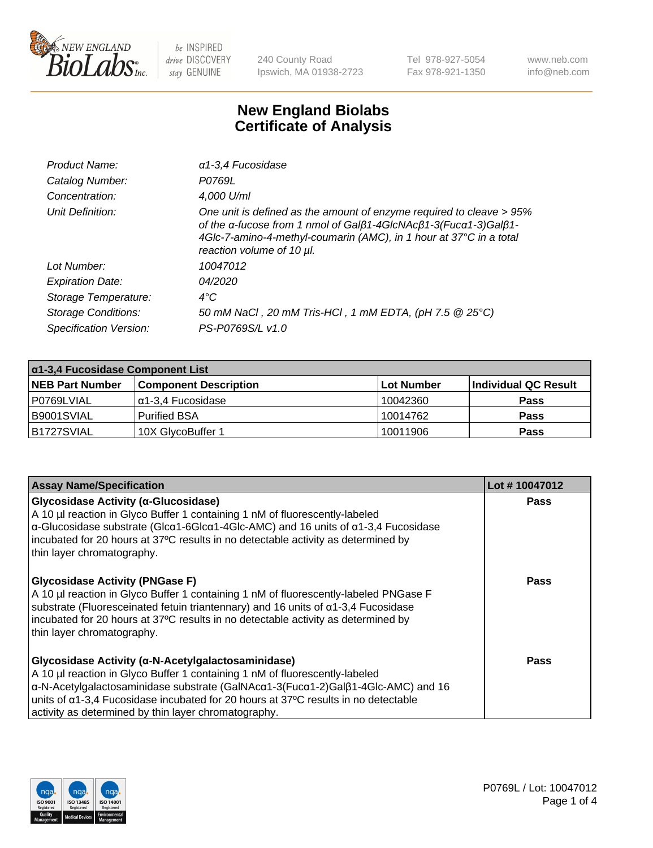

240 County Road Ipswich, MA 01938-2723 Tel 978-927-5054 Fax 978-921-1350 www.neb.com info@neb.com

## **New England Biolabs Certificate of Analysis**

| Product Name:              | $\alpha$ 1-3,4 Fucosidase                                                                                                                                                                                                                  |
|----------------------------|--------------------------------------------------------------------------------------------------------------------------------------------------------------------------------------------------------------------------------------------|
| Catalog Number:            | P0769L                                                                                                                                                                                                                                     |
| Concentration:             | 4,000 U/ml                                                                                                                                                                                                                                 |
| Unit Definition:           | One unit is defined as the amount of enzyme required to cleave > 95%<br>of the a-fucose from 1 nmol of Galß1-4GIcNAcß1-3(Fuca1-3)Galß1-<br>4Glc-7-amino-4-methyl-coumarin (AMC), in 1 hour at 37°C in a total<br>reaction volume of 10 µl. |
| Lot Number:                | 10047012                                                                                                                                                                                                                                   |
| <b>Expiration Date:</b>    | 04/2020                                                                                                                                                                                                                                    |
| Storage Temperature:       | $4^{\circ}$ C                                                                                                                                                                                                                              |
| <b>Storage Conditions:</b> | 50 mM NaCl, 20 mM Tris-HCl, 1 mM EDTA, (pH 7.5 @ 25°C)                                                                                                                                                                                     |
| Specification Version:     | PS-P0769S/L v1.0                                                                                                                                                                                                                           |

| $\alpha$ 1-3,4 Fucosidase Component List |                              |            |                      |  |
|------------------------------------------|------------------------------|------------|----------------------|--|
| <b>NEB Part Number</b>                   | <b>Component Description</b> | Lot Number | Individual QC Result |  |
| P0769LVIAL                               | $\alpha$ 1-3,4 Fucosidase    | 10042360   | <b>Pass</b>          |  |
| B9001SVIAL                               | <b>Purified BSA</b>          | 10014762   | <b>Pass</b>          |  |
| B1727SVIAL                               | 10X GlycoBuffer 1            | 10011906   | <b>Pass</b>          |  |

| <b>Assay Name/Specification</b>                                                                                                                                                                                                                                                                                                                                                                               | Lot #10047012 |
|---------------------------------------------------------------------------------------------------------------------------------------------------------------------------------------------------------------------------------------------------------------------------------------------------------------------------------------------------------------------------------------------------------------|---------------|
| Glycosidase Activity (α-Glucosidase)<br>A 10 µl reaction in Glyco Buffer 1 containing 1 nM of fluorescently-labeled<br>$\alpha$ -Glucosidase substrate (Glc $\alpha$ 1-6Glc $\alpha$ 1-4Glc-AMC) and 16 units of $\alpha$ 1-3,4 Fucosidase<br>incubated for 20 hours at 37°C results in no detectable activity as determined by<br>thin layer chromatography.                                                 | <b>Pass</b>   |
| <b>Glycosidase Activity (PNGase F)</b><br>A 10 µl reaction in Glyco Buffer 1 containing 1 nM of fluorescently-labeled PNGase F<br>substrate (Fluoresceinated fetuin triantennary) and 16 units of $\alpha$ 1-3,4 Fucosidase<br>incubated for 20 hours at 37°C results in no detectable activity as determined by<br>thin layer chromatography.                                                                | Pass          |
| Glycosidase Activity (α-N-Acetylgalactosaminidase)<br>A 10 µl reaction in Glyco Buffer 1 containing 1 nM of fluorescently-labeled<br>$\alpha$ -N-Acetylgalactosaminidase substrate (GalNAc $\alpha$ 1-3(Fuc $\alpha$ 1-2)Gal $\beta$ 1-4Glc-AMC) and 16<br>units of $\alpha$ 1-3,4 Fucosidase incubated for 20 hours at 37°C results in no detectable<br>activity as determined by thin layer chromatography. | Pass          |

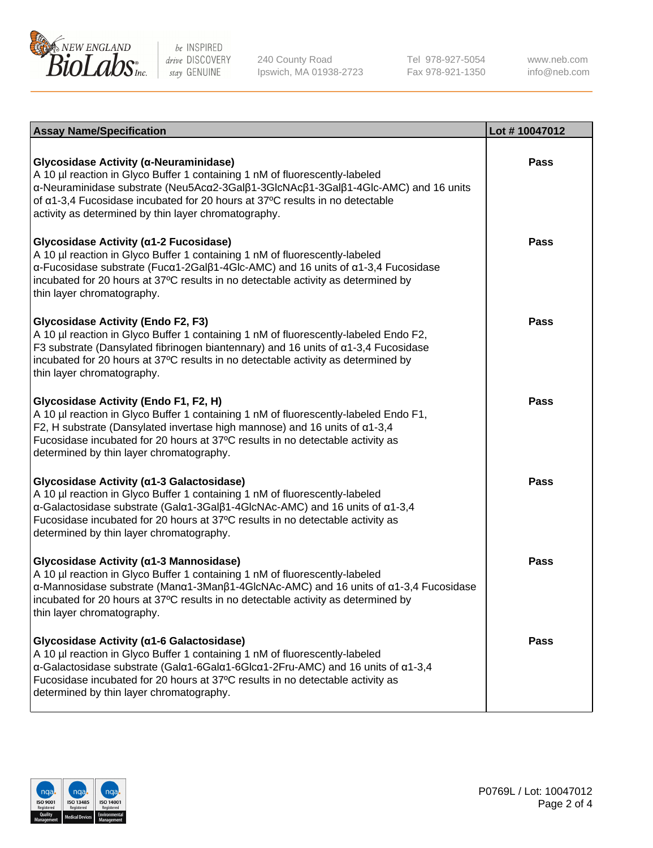

240 County Road Ipswich, MA 01938-2723 Tel 978-927-5054 Fax 978-921-1350

www.neb.com info@neb.com

| <b>Assay Name/Specification</b>                                                                                                                                                                                                                                                                                                                                    | Lot #10047012 |
|--------------------------------------------------------------------------------------------------------------------------------------------------------------------------------------------------------------------------------------------------------------------------------------------------------------------------------------------------------------------|---------------|
| Glycosidase Activity (α-Neuraminidase)<br>A 10 µl reaction in Glyco Buffer 1 containing 1 nM of fluorescently-labeled<br>α-Neuraminidase substrate (Neu5Acα2-3Galβ1-3GlcNAcβ1-3Galβ1-4Glc-AMC) and 16 units<br>of α1-3,4 Fucosidase incubated for 20 hours at 37°C results in no detectable<br>activity as determined by thin layer chromatography.                | <b>Pass</b>   |
| Glycosidase Activity (α1-2 Fucosidase)<br>A 10 µl reaction in Glyco Buffer 1 containing 1 nM of fluorescently-labeled<br>$\alpha$ -Fucosidase substrate (Fuc $\alpha$ 1-2Gal $\beta$ 1-4Glc-AMC) and 16 units of $\alpha$ 1-3,4 Fucosidase<br>incubated for 20 hours at 37°C results in no detectable activity as determined by<br>thin layer chromatography.      | <b>Pass</b>   |
| <b>Glycosidase Activity (Endo F2, F3)</b><br>A 10 µl reaction in Glyco Buffer 1 containing 1 nM of fluorescently-labeled Endo F2,<br>F3 substrate (Dansylated fibrinogen biantennary) and 16 units of $\alpha$ 1-3,4 Fucosidase<br>incubated for 20 hours at 37°C results in no detectable activity as determined by<br>thin layer chromatography.                 | <b>Pass</b>   |
| Glycosidase Activity (Endo F1, F2, H)<br>A 10 µl reaction in Glyco Buffer 1 containing 1 nM of fluorescently-labeled Endo F1,<br>F2, H substrate (Dansylated invertase high mannose) and 16 units of $\alpha$ 1-3,4<br>Fucosidase incubated for 20 hours at 37°C results in no detectable activity as<br>determined by thin layer chromatography.                  | <b>Pass</b>   |
| Glycosidase Activity (α1-3 Galactosidase)<br>A 10 µl reaction in Glyco Buffer 1 containing 1 nM of fluorescently-labeled<br>α-Galactosidase substrate (Galα1-3Galβ1-4GlcNAc-AMC) and 16 units of α1-3,4<br>Fucosidase incubated for 20 hours at 37°C results in no detectable activity as<br>determined by thin layer chromatography.                              | <b>Pass</b>   |
| Glycosidase Activity (a1-3 Mannosidase)<br>A 10 µl reaction in Glyco Buffer 1 containing 1 nM of fluorescently-labeled<br>$\alpha$ -Mannosidase substrate (Man $\alpha$ 1-3Man $\beta$ 1-4GlcNAc-AMC) and 16 units of $\alpha$ 1-3,4 Fucosidase<br>incubated for 20 hours at 37°C results in no detectable activity as determined by<br>thin layer chromatography. | <b>Pass</b>   |
| Glycosidase Activity (α1-6 Galactosidase)<br>A 10 µl reaction in Glyco Buffer 1 containing 1 nM of fluorescently-labeled<br>α-Galactosidase substrate (Galα1-6Galα1-6Glcα1-2Fru-AMC) and 16 units of α1-3,4<br>Fucosidase incubated for 20 hours at 37°C results in no detectable activity as<br>determined by thin layer chromatography.                          | <b>Pass</b>   |

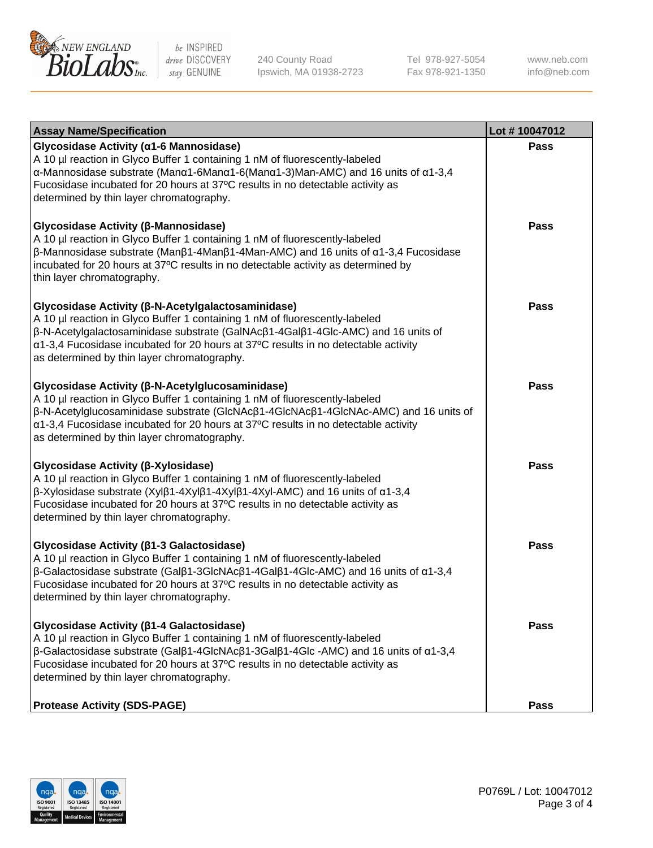

240 County Road Ipswich, MA 01938-2723 Tel 978-927-5054 Fax 978-921-1350 www.neb.com info@neb.com

| <b>Assay Name/Specification</b>                                                                                                                                                                                                                                                                                                                              | Lot #10047012 |
|--------------------------------------------------------------------------------------------------------------------------------------------------------------------------------------------------------------------------------------------------------------------------------------------------------------------------------------------------------------|---------------|
| Glycosidase Activity (α1-6 Mannosidase)<br>A 10 µl reaction in Glyco Buffer 1 containing 1 nM of fluorescently-labeled<br>α-Mannosidase substrate (Manα1-6Manα1-6(Manα1-3)Man-AMC) and 16 units of α1-3,4<br>Fucosidase incubated for 20 hours at 37°C results in no detectable activity as<br>determined by thin layer chromatography.                      | <b>Pass</b>   |
| Glycosidase Activity (β-Mannosidase)<br>A 10 µl reaction in Glyco Buffer 1 containing 1 nM of fluorescently-labeled<br>$\beta$ -Mannosidase substrate (Μanβ1-4Μanβ1-4Μan-AMC) and 16 units of α1-3,4 Fucosidase<br>incubated for 20 hours at 37°C results in no detectable activity as determined by<br>thin layer chromatography.                           | <b>Pass</b>   |
| Glycosidase Activity (β-N-Acetylgalactosaminidase)<br>A 10 µl reaction in Glyco Buffer 1 containing 1 nM of fluorescently-labeled<br>β-N-Acetylgalactosaminidase substrate (GalNAcβ1-4Galβ1-4Glc-AMC) and 16 units of<br>α1-3,4 Fucosidase incubated for 20 hours at 37°C results in no detectable activity<br>as determined by thin layer chromatography.   | <b>Pass</b>   |
| Glycosidase Activity (β-N-Acetylglucosaminidase)<br>A 10 µl reaction in Glyco Buffer 1 containing 1 nM of fluorescently-labeled<br>β-N-Acetylglucosaminidase substrate (GlcNAcβ1-4GlcNAcβ1-4GlcNAc-AMC) and 16 units of<br>α1-3,4 Fucosidase incubated for 20 hours at 37°C results in no detectable activity<br>as determined by thin layer chromatography. | <b>Pass</b>   |
| Glycosidase Activity (β-Xylosidase)<br>A 10 µl reaction in Glyco Buffer 1 containing 1 nM of fluorescently-labeled<br>$\beta$ -Xylosidase substrate (Xylβ1-4Xylβ1-4Xylβ1-4Xyl-AMC) and 16 units of $\alpha$ 1-3,4<br>Fucosidase incubated for 20 hours at 37°C results in no detectable activity as<br>determined by thin layer chromatography.              | <b>Pass</b>   |
| Glycosidase Activity (β1-3 Galactosidase)<br>A 10 µl reaction in Glyco Buffer 1 containing 1 nM of fluorescently-labeled<br>β-Galactosidase substrate (Galβ1-3GlcNAcβ1-4Galβ1-4Glc-AMC) and 16 units of α1-3,4<br>Fucosidase incubated for 20 hours at 37°C results in no detectable activity as<br>determined by thin layer chromatography.                 | <b>Pass</b>   |
| Glycosidase Activity (β1-4 Galactosidase)<br>A 10 µl reaction in Glyco Buffer 1 containing 1 nM of fluorescently-labeled<br>$\beta$ -Galactosidase substrate (Galβ1-4GlcNAcβ1-3Galβ1-4Glc -AMC) and 16 units of α1-3,4<br>Fucosidase incubated for 20 hours at 37°C results in no detectable activity as<br>determined by thin layer chromatography.         | Pass          |
| <b>Protease Activity (SDS-PAGE)</b>                                                                                                                                                                                                                                                                                                                          | Pass          |